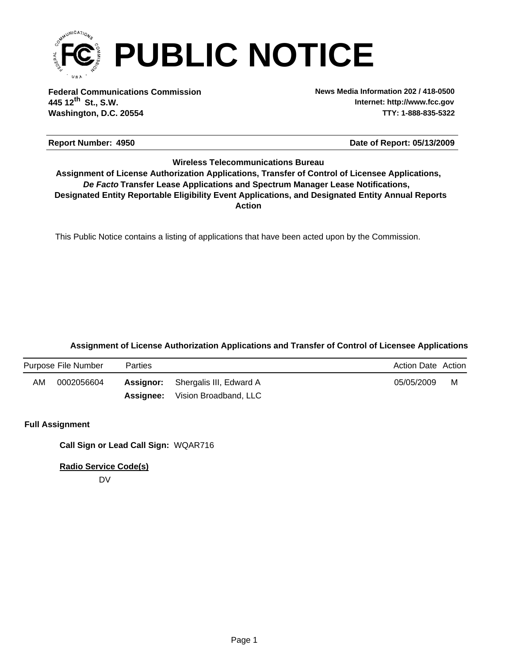

**Federal Communications Commission News Media Information 202 / 418-0500 Washington, D.C. 20554 TTY: 1-888-835-5322 445 12 St., S.W. th**

**Internet: http://www.fcc.gov**

#### **Report Number: 4950 4950 4950 4950 4950 4960 4960 4960 4960 4960 4960 4960 4960 4960 4960 4960 4960 4960 4960 4960 4960 4960 4960 4960 4960 4960 4960 4960 4960 496**

**Wireless Telecommunications Bureau**

**Action** *De Facto* **Transfer Lease Applications and Spectrum Manager Lease Notifications, Designated Entity Reportable Eligibility Event Applications, and Designated Entity Annual Reports Assignment of License Authorization Applications, Transfer of Control of Licensee Applications,**

This Public Notice contains a listing of applications that have been acted upon by the Commission.

#### **Assignment of License Authorization Applications and Transfer of Control of Licensee Applications**

|    | Purpose File Number | Parties |                                          | Action Date Action |   |
|----|---------------------|---------|------------------------------------------|--------------------|---|
| AM | 0002056604          |         | <b>Assignor:</b> Shergalis III, Edward A | 05/05/2009         | M |
|    |                     |         | <b>Assignee:</b> Vision Broadband, LLC   |                    |   |

#### **Full Assignment**

**Call Sign or Lead Call Sign:** WQAR716

**Radio Service Code(s)**

DV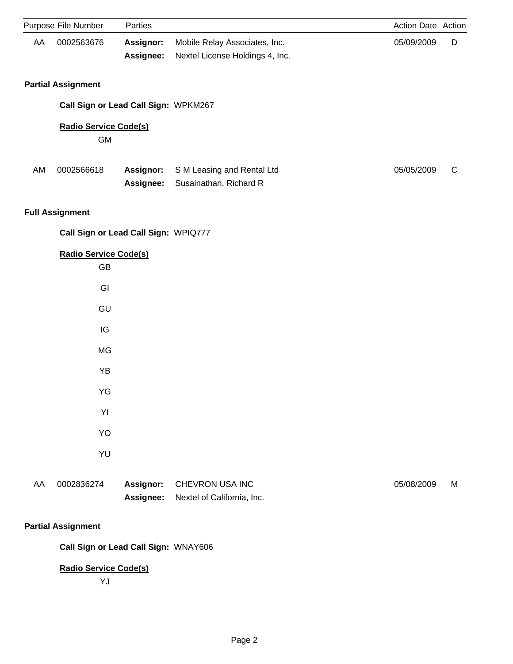|    | Purpose File Number                  | Parties                |                                                                  | Action Date Action |              |
|----|--------------------------------------|------------------------|------------------------------------------------------------------|--------------------|--------------|
| AA | 0002563676                           | Assignor:<br>Assignee: | Mobile Relay Associates, Inc.<br>Nextel License Holdings 4, Inc. | 05/09/2009         | D            |
|    | <b>Partial Assignment</b>            |                        |                                                                  |                    |              |
|    | Call Sign or Lead Call Sign: WPKM267 |                        |                                                                  |                    |              |
|    | <b>Radio Service Code(s)</b><br>GM   |                        |                                                                  |                    |              |
| AM | 0002566618                           | Assignor:<br>Assignee: | S M Leasing and Rental Ltd<br>Susainathan, Richard R             | 05/05/2009         | $\mathsf{C}$ |
|    | <b>Full Assignment</b>               |                        |                                                                  |                    |              |
|    | Call Sign or Lead Call Sign: WPIQ777 |                        |                                                                  |                    |              |
|    | <b>Radio Service Code(s)</b><br>GB   |                        |                                                                  |                    |              |
|    | GI                                   |                        |                                                                  |                    |              |
|    | GU                                   |                        |                                                                  |                    |              |
|    | IG                                   |                        |                                                                  |                    |              |
|    | MG                                   |                        |                                                                  |                    |              |
|    | YB                                   |                        |                                                                  |                    |              |
|    | YG                                   |                        |                                                                  |                    |              |
|    | YI                                   |                        |                                                                  |                    |              |
|    | YO                                   |                        |                                                                  |                    |              |
|    | YU                                   |                        |                                                                  |                    |              |
| AA | 0002836274                           | Assignor:<br>Assignee: | CHEVRON USA INC<br>Nextel of California, Inc.                    | 05/08/2009         | M            |
|    | <b>Partial Assignment</b>            |                        |                                                                  |                    |              |
|    | Call Sign or Lead Call Sign: WNAY606 |                        |                                                                  |                    |              |
|    | <b>Radio Service Code(s)</b>         |                        |                                                                  |                    |              |

YJ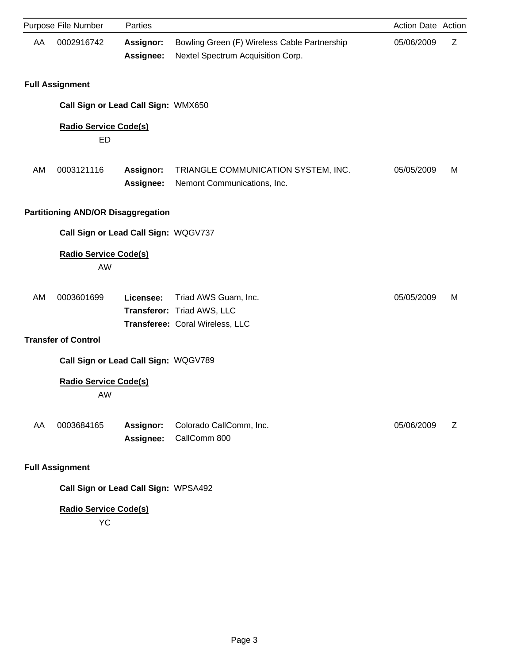|    | Purpose File Number                       | Parties                              |                                                                                       | Action Date Action |   |
|----|-------------------------------------------|--------------------------------------|---------------------------------------------------------------------------------------|--------------------|---|
| AA | 0002916742                                | Assignor:<br>Assignee:               | Bowling Green (F) Wireless Cable Partnership<br>Nextel Spectrum Acquisition Corp.     | 05/06/2009         | Z |
|    | <b>Full Assignment</b>                    |                                      |                                                                                       |                    |   |
|    | Call Sign or Lead Call Sign: WMX650       |                                      |                                                                                       |                    |   |
|    | <b>Radio Service Code(s)</b><br><b>ED</b> |                                      |                                                                                       |                    |   |
| AM | 0003121116                                | Assignor:<br>Assignee:               | TRIANGLE COMMUNICATION SYSTEM, INC.<br>Nemont Communications, Inc.                    | 05/05/2009         | M |
|    | <b>Partitioning AND/OR Disaggregation</b> |                                      |                                                                                       |                    |   |
|    | Call Sign or Lead Call Sign: WQGV737      |                                      |                                                                                       |                    |   |
|    | <b>Radio Service Code(s)</b><br>AW        |                                      |                                                                                       |                    |   |
| AM | 0003601699                                | Licensee:                            | Triad AWS Guam, Inc.<br>Transferor: Triad AWS, LLC<br>Transferee: Coral Wireless, LLC | 05/05/2009         | M |
|    | <b>Transfer of Control</b>                |                                      |                                                                                       |                    |   |
|    | Call Sign or Lead Call Sign: WQGV789      |                                      |                                                                                       |                    |   |
|    | <b>Radio Service Code(s)</b><br>AW        |                                      |                                                                                       |                    |   |
| AA | 0003684165                                | Assignor:<br>Assignee:               | Colorado CallComm, Inc.<br>CallComm 800                                               | 05/06/2009         | Z |
|    | <b>Full Assignment</b>                    |                                      |                                                                                       |                    |   |
|    |                                           | Call Sign or Lead Call Sign: WPSA492 |                                                                                       |                    |   |

## **Radio Service Code(s)**

YC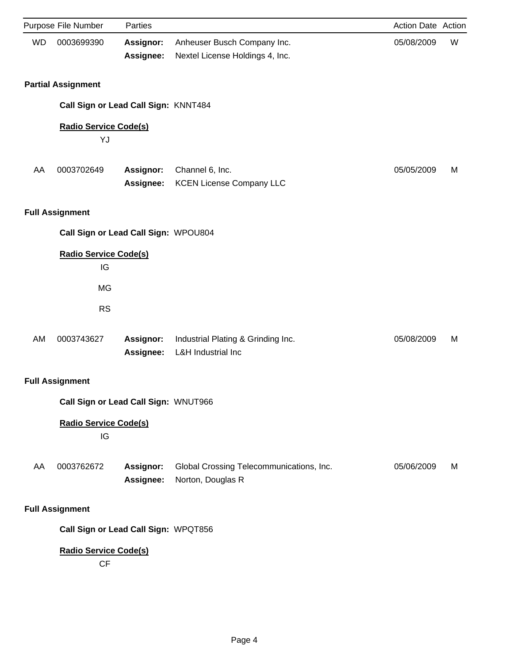|           | Purpose File Number                  | Parties                       |                                                                     | Action Date Action |   |
|-----------|--------------------------------------|-------------------------------|---------------------------------------------------------------------|--------------------|---|
| <b>WD</b> | 0003699390                           | Assignor:<br>Assignee:        | Anheuser Busch Company Inc.<br>Nextel License Holdings 4, Inc.      | 05/08/2009         | W |
|           | <b>Partial Assignment</b>            |                               |                                                                     |                    |   |
|           | Call Sign or Lead Call Sign: KNNT484 |                               |                                                                     |                    |   |
|           | <b>Radio Service Code(s)</b>         |                               |                                                                     |                    |   |
|           | YJ                                   |                               |                                                                     |                    |   |
| AA        | 0003702649                           | Assignor:<br>Assignee:        | Channel 6, Inc.<br><b>KCEN License Company LLC</b>                  | 05/05/2009         | М |
|           | <b>Full Assignment</b>               |                               |                                                                     |                    |   |
|           | Call Sign or Lead Call Sign: WPOU804 |                               |                                                                     |                    |   |
|           | <b>Radio Service Code(s)</b><br>IG   |                               |                                                                     |                    |   |
|           | <b>MG</b>                            |                               |                                                                     |                    |   |
|           | <b>RS</b>                            |                               |                                                                     |                    |   |
| AM        | 0003743627                           | Assignor:<br>Assignee:        | Industrial Plating & Grinding Inc.<br><b>L&amp;H</b> Industrial Inc | 05/08/2009         | M |
|           | <b>Full Assignment</b>               |                               |                                                                     |                    |   |
|           | Call Sign or Lead Call Sign: WNUT966 |                               |                                                                     |                    |   |
|           | <b>Radio Service Code(s)</b><br>IG   |                               |                                                                     |                    |   |
| AA        | 0003762672                           | <b>Assignor:</b><br>Assignee: | Global Crossing Telecommunications, Inc.<br>Norton, Douglas R       | 05/06/2009         | М |
|           | <b>Full Assignment</b>               |                               |                                                                     |                    |   |
|           | Call Sign or Lead Call Sign: WPQT856 |                               |                                                                     |                    |   |
|           | <b>Radio Service Code(s)</b><br>CF   |                               |                                                                     |                    |   |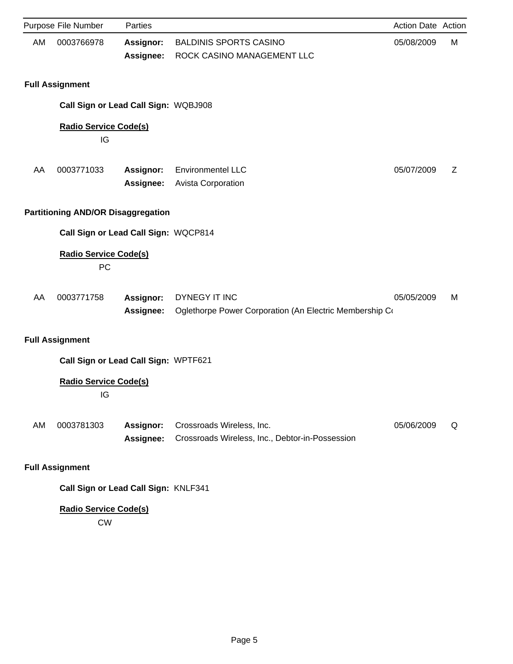|    | Purpose File Number                       | Parties                       |                                                                              | Action Date Action |   |
|----|-------------------------------------------|-------------------------------|------------------------------------------------------------------------------|--------------------|---|
| AM | 0003766978                                | <b>Assignor:</b><br>Assignee: | <b>BALDINIS SPORTS CASINO</b><br>ROCK CASINO MANAGEMENT LLC                  | 05/08/2009         | М |
|    | <b>Full Assignment</b>                    |                               |                                                                              |                    |   |
|    | Call Sign or Lead Call Sign: WQBJ908      |                               |                                                                              |                    |   |
|    | <b>Radio Service Code(s)</b><br>IG        |                               |                                                                              |                    |   |
| AA | 0003771033                                | Assignor:<br>Assignee:        | <b>Environmentel LLC</b><br><b>Avista Corporation</b>                        | 05/07/2009         | Z |
|    | <b>Partitioning AND/OR Disaggregation</b> |                               |                                                                              |                    |   |
|    | Call Sign or Lead Call Sign: WQCP814      |                               |                                                                              |                    |   |
|    | <b>Radio Service Code(s)</b><br>PC        |                               |                                                                              |                    |   |
| AA | 0003771758                                | Assignor:<br>Assignee:        | DYNEGY IT INC<br>Oglethorpe Power Corporation (An Electric Membership Co     | 05/05/2009         | M |
|    | <b>Full Assignment</b>                    |                               |                                                                              |                    |   |
|    | Call Sign or Lead Call Sign: WPTF621      |                               |                                                                              |                    |   |
|    | <b>Radio Service Code(s)</b><br>IG        |                               |                                                                              |                    |   |
| AM | 0003781303                                | Assignor:<br>Assignee:        | Crossroads Wireless, Inc.<br>Crossroads Wireless, Inc., Debtor-in-Possession | 05/06/2009         | Q |
|    | <b>Full Assignment</b>                    |                               |                                                                              |                    |   |
|    | Call Sign or Lead Call Sign: KNLF341      |                               |                                                                              |                    |   |

# **Radio Service Code(s)**

CW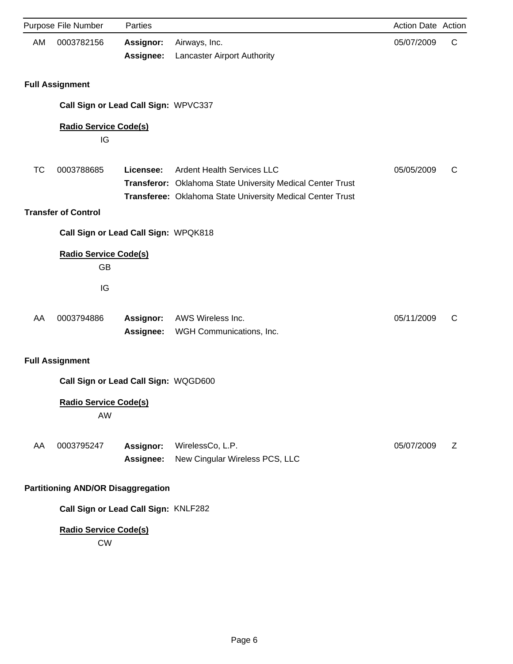|           | Purpose File Number                       | Parties                              |                                                                                                                                                               | Action Date Action |   |
|-----------|-------------------------------------------|--------------------------------------|---------------------------------------------------------------------------------------------------------------------------------------------------------------|--------------------|---|
| AM        | 0003782156                                | <b>Assignor:</b><br>Assignee:        | Airways, Inc.<br>Lancaster Airport Authority                                                                                                                  | 05/07/2009         | C |
|           | <b>Full Assignment</b>                    |                                      |                                                                                                                                                               |                    |   |
|           | Call Sign or Lead Call Sign: WPVC337      |                                      |                                                                                                                                                               |                    |   |
|           | <b>Radio Service Code(s)</b><br>IG        |                                      |                                                                                                                                                               |                    |   |
| <b>TC</b> | 0003788685                                | Licensee:                            | <b>Ardent Health Services LLC</b><br>Transferor: Oklahoma State University Medical Center Trust<br>Transferee: Oklahoma State University Medical Center Trust | 05/05/2009         | C |
|           | <b>Transfer of Control</b>                |                                      |                                                                                                                                                               |                    |   |
|           | Call Sign or Lead Call Sign: WPQK818      |                                      |                                                                                                                                                               |                    |   |
|           | <b>Radio Service Code(s)</b><br><b>GB</b> |                                      |                                                                                                                                                               |                    |   |
|           | IG                                        |                                      |                                                                                                                                                               |                    |   |
| AA        | 0003794886                                | <b>Assignor:</b><br><b>Assignee:</b> | AWS Wireless Inc.<br>WGH Communications, Inc.                                                                                                                 | 05/11/2009         | C |
|           | <b>Full Assignment</b>                    |                                      |                                                                                                                                                               |                    |   |
|           | Call Sign or Lead Call Sign: WQGD600      |                                      |                                                                                                                                                               |                    |   |
|           | <b>Radio Service Code(s)</b><br>AW        |                                      |                                                                                                                                                               |                    |   |
| AA        | 0003795247                                | Assignor:<br>Assignee:               | WirelessCo, L.P.<br>New Cingular Wireless PCS, LLC                                                                                                            | 05/07/2009         | Z |
|           | <b>Partitioning AND/OR Disaggregation</b> |                                      |                                                                                                                                                               |                    |   |
|           | Call Sign or Lead Call Sign: KNLF282      |                                      |                                                                                                                                                               |                    |   |
|           | <b>Radio Service Code(s)</b><br><b>CW</b> |                                      |                                                                                                                                                               |                    |   |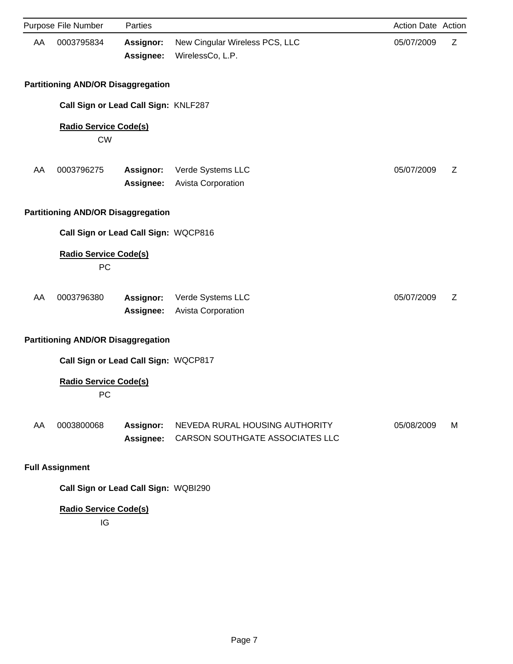|    | Purpose File Number                       | Parties                       |                                                                   | <b>Action Date Action</b> |   |
|----|-------------------------------------------|-------------------------------|-------------------------------------------------------------------|---------------------------|---|
| AA | 0003795834                                | <b>Assignor:</b><br>Assignee: | New Cingular Wireless PCS, LLC<br>WirelessCo, L.P.                | 05/07/2009                | Z |
|    | <b>Partitioning AND/OR Disaggregation</b> |                               |                                                                   |                           |   |
|    | Call Sign or Lead Call Sign: KNLF287      |                               |                                                                   |                           |   |
|    | <b>Radio Service Code(s)</b><br><b>CW</b> |                               |                                                                   |                           |   |
| AA | 0003796275                                | Assignor:<br>Assignee:        | Verde Systems LLC<br><b>Avista Corporation</b>                    | 05/07/2009                | Z |
|    | <b>Partitioning AND/OR Disaggregation</b> |                               |                                                                   |                           |   |
|    | Call Sign or Lead Call Sign: WQCP816      |                               |                                                                   |                           |   |
|    | <b>Radio Service Code(s)</b><br>PC        |                               |                                                                   |                           |   |
| AA | 0003796380                                | Assignor:<br>Assignee:        | Verde Systems LLC<br>Avista Corporation                           | 05/07/2009                | Z |
|    | <b>Partitioning AND/OR Disaggregation</b> |                               |                                                                   |                           |   |
|    | Call Sign or Lead Call Sign: WQCP817      |                               |                                                                   |                           |   |
|    | <b>Radio Service Code(s)</b><br>PC        |                               |                                                                   |                           |   |
| AA | 0003800068                                | <b>Assignor:</b><br>Assignee: | NEVEDA RURAL HOUSING AUTHORITY<br>CARSON SOUTHGATE ASSOCIATES LLC | 05/08/2009                | M |
|    | <b>Full Assignment</b>                    |                               |                                                                   |                           |   |

**Call Sign or Lead Call Sign:** WQBI290

# **Radio Service Code(s)**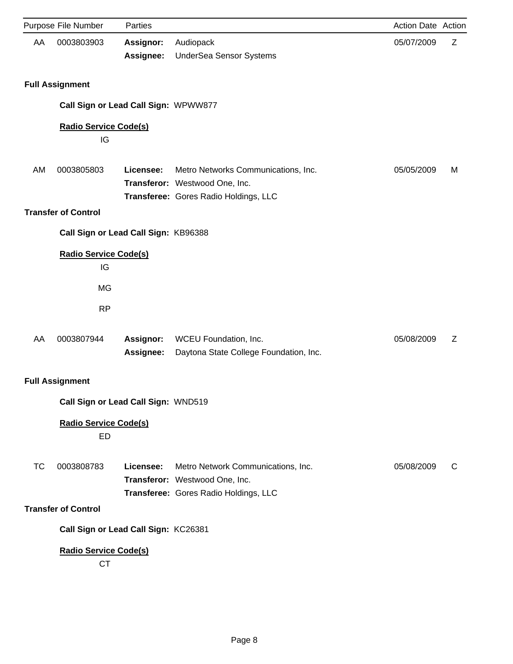|           | Purpose File Number                       | Parties                       |                                                                                                                | Action Date Action |   |
|-----------|-------------------------------------------|-------------------------------|----------------------------------------------------------------------------------------------------------------|--------------------|---|
| AA        | 0003803903                                | <b>Assignor:</b><br>Assignee: | Audiopack<br><b>UnderSea Sensor Systems</b>                                                                    | 05/07/2009         | Z |
|           | <b>Full Assignment</b>                    |                               |                                                                                                                |                    |   |
|           | Call Sign or Lead Call Sign: WPWW877      |                               |                                                                                                                |                    |   |
|           | <b>Radio Service Code(s)</b><br>IG        |                               |                                                                                                                |                    |   |
| AM        | 0003805803                                | Licensee:                     | Metro Networks Communications, Inc.<br>Transferor: Westwood One, Inc.<br>Transferee: Gores Radio Holdings, LLC | 05/05/2009         | M |
|           | <b>Transfer of Control</b>                |                               |                                                                                                                |                    |   |
|           | Call Sign or Lead Call Sign: KB96388      |                               |                                                                                                                |                    |   |
|           | <b>Radio Service Code(s)</b><br>IG        |                               |                                                                                                                |                    |   |
|           | <b>MG</b>                                 |                               |                                                                                                                |                    |   |
|           | <b>RP</b>                                 |                               |                                                                                                                |                    |   |
| AA        | 0003807944                                | Assignor:<br>Assignee:        | WCEU Foundation, Inc.<br>Daytona State College Foundation, Inc.                                                | 05/08/2009         | Ζ |
|           | <b>Full Assignment</b>                    |                               |                                                                                                                |                    |   |
|           | Call Sign or Lead Call Sign: WND519       |                               |                                                                                                                |                    |   |
|           | <b>Radio Service Code(s)</b><br>ED        |                               |                                                                                                                |                    |   |
| <b>TC</b> | 0003808783                                | Licensee:                     | Metro Network Communications, Inc.<br>Transferor: Westwood One, Inc.<br>Transferee: Gores Radio Holdings, LLC  | 05/08/2009         | C |
|           | <b>Transfer of Control</b>                |                               |                                                                                                                |                    |   |
|           | Call Sign or Lead Call Sign: KC26381      |                               |                                                                                                                |                    |   |
|           | <b>Radio Service Code(s)</b><br><b>CT</b> |                               |                                                                                                                |                    |   |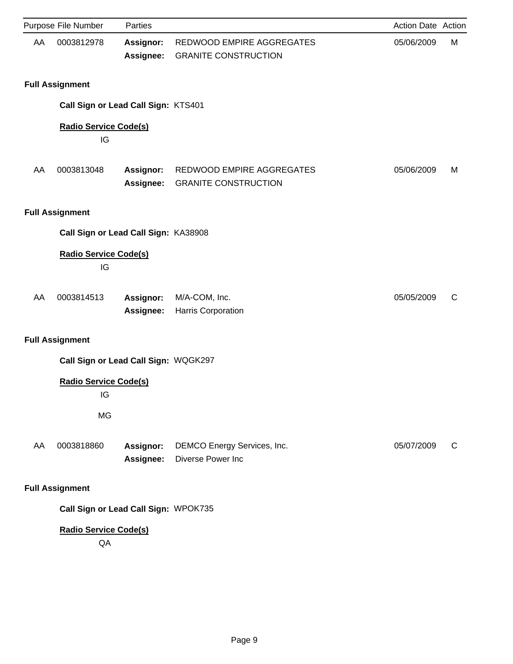|    | Purpose File Number                  | Parties                       |                                                          | Action Date Action |   |
|----|--------------------------------------|-------------------------------|----------------------------------------------------------|--------------------|---|
| AA | 0003812978                           | <b>Assignor:</b><br>Assignee: | REDWOOD EMPIRE AGGREGATES<br><b>GRANITE CONSTRUCTION</b> | 05/06/2009         | M |
|    | <b>Full Assignment</b>               |                               |                                                          |                    |   |
|    | Call Sign or Lead Call Sign: KTS401  |                               |                                                          |                    |   |
|    | <b>Radio Service Code(s)</b><br>IG   |                               |                                                          |                    |   |
| AA | 0003813048                           | <b>Assignor:</b><br>Assignee: | REDWOOD EMPIRE AGGREGATES<br><b>GRANITE CONSTRUCTION</b> | 05/06/2009         | М |
|    | <b>Full Assignment</b>               |                               |                                                          |                    |   |
|    | Call Sign or Lead Call Sign: KA38908 |                               |                                                          |                    |   |
|    | <b>Radio Service Code(s)</b><br>IG   |                               |                                                          |                    |   |
| AA | 0003814513                           | Assignor:<br>Assignee:        | M/A-COM, Inc.<br>Harris Corporation                      | 05/05/2009         | C |
|    | <b>Full Assignment</b>               |                               |                                                          |                    |   |
|    | Call Sign or Lead Call Sign: WQGK297 |                               |                                                          |                    |   |
|    | <b>Radio Service Code(s)</b><br>IG   |                               |                                                          |                    |   |
|    | MG                                   |                               |                                                          |                    |   |
| AA | 0003818860                           | <b>Assignor:</b><br>Assignee: | DEMCO Energy Services, Inc.<br>Diverse Power Inc         | 05/07/2009         | C |
|    | <b>Full Assignment</b>               |                               |                                                          |                    |   |
|    | Call Sign or Lead Call Sign: WPOK735 |                               |                                                          |                    |   |
|    | <b>Radio Service Code(s)</b><br>QA   |                               |                                                          |                    |   |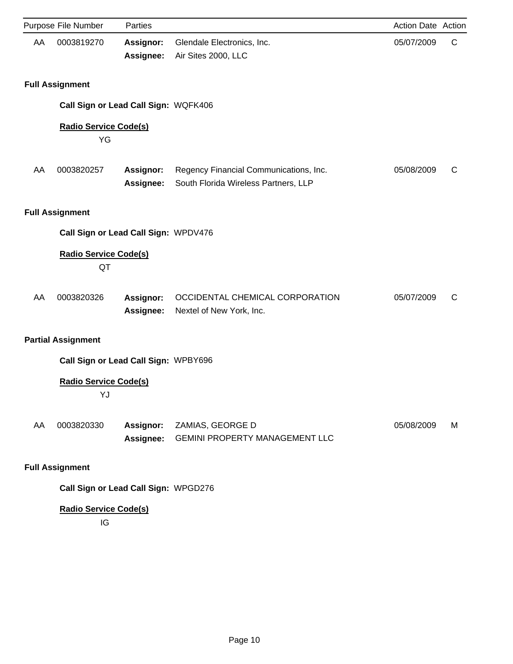|    | Purpose File Number                  | Parties                       |                                                                                | Action Date Action |   |
|----|--------------------------------------|-------------------------------|--------------------------------------------------------------------------------|--------------------|---|
| AA | 0003819270                           | <b>Assignor:</b><br>Assignee: | Glendale Electronics, Inc.<br>Air Sites 2000, LLC                              | 05/07/2009         | C |
|    | <b>Full Assignment</b>               |                               |                                                                                |                    |   |
|    | Call Sign or Lead Call Sign: WQFK406 |                               |                                                                                |                    |   |
|    | <b>Radio Service Code(s)</b><br>YG   |                               |                                                                                |                    |   |
| AA | 0003820257                           | Assignor:<br>Assignee:        | Regency Financial Communications, Inc.<br>South Florida Wireless Partners, LLP | 05/08/2009         | C |
|    | <b>Full Assignment</b>               |                               |                                                                                |                    |   |
|    | Call Sign or Lead Call Sign: WPDV476 |                               |                                                                                |                    |   |
|    | <b>Radio Service Code(s)</b><br>QT   |                               |                                                                                |                    |   |
| AA | 0003820326                           | Assignor:<br>Assignee:        | OCCIDENTAL CHEMICAL CORPORATION<br>Nextel of New York, Inc.                    | 05/07/2009         | C |
|    | <b>Partial Assignment</b>            |                               |                                                                                |                    |   |
|    | Call Sign or Lead Call Sign: WPBY696 |                               |                                                                                |                    |   |
|    | <b>Radio Service Code(s)</b><br>YJ   |                               |                                                                                |                    |   |
| AA | 0003820330                           | <b>Assignor:</b><br>Assignee: | ZAMIAS, GEORGE D<br><b>GEMINI PROPERTY MANAGEMENT LLC</b>                      | 05/08/2009         | M |
|    | <b>Full Assignment</b>               |                               |                                                                                |                    |   |

**Call Sign or Lead Call Sign:** WPGD276

# **Radio Service Code(s)**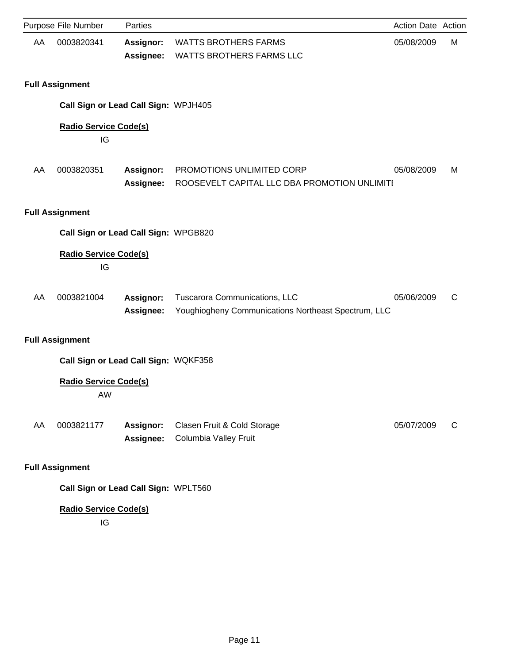|    | Purpose File Number                  | Parties                       |                                                                                      | Action Date Action |   |
|----|--------------------------------------|-------------------------------|--------------------------------------------------------------------------------------|--------------------|---|
| AA | 0003820341                           | <b>Assignor:</b><br>Assignee: | <b>WATTS BROTHERS FARMS</b><br><b>WATTS BROTHERS FARMS LLC</b>                       | 05/08/2009         | М |
|    | <b>Full Assignment</b>               |                               |                                                                                      |                    |   |
|    | Call Sign or Lead Call Sign: WPJH405 |                               |                                                                                      |                    |   |
|    | <b>Radio Service Code(s)</b><br>IG   |                               |                                                                                      |                    |   |
| AA | 0003820351                           | <b>Assignor:</b><br>Assignee: | PROMOTIONS UNLIMITED CORP<br>ROOSEVELT CAPITAL LLC DBA PROMOTION UNLIMITI            | 05/08/2009         | M |
|    | <b>Full Assignment</b>               |                               |                                                                                      |                    |   |
|    | Call Sign or Lead Call Sign: WPGB820 |                               |                                                                                      |                    |   |
|    | <b>Radio Service Code(s)</b><br>IG   |                               |                                                                                      |                    |   |
| AA | 0003821004                           | <b>Assignor:</b><br>Assignee: | Tuscarora Communications, LLC<br>Youghiogheny Communications Northeast Spectrum, LLC | 05/06/2009         | C |
|    | <b>Full Assignment</b>               |                               |                                                                                      |                    |   |
|    | Call Sign or Lead Call Sign: WQKF358 |                               |                                                                                      |                    |   |
|    | <b>Radio Service Code(s)</b><br>AW   |                               |                                                                                      |                    |   |
| AA | 0003821177                           | <b>Assignor:</b><br>Assignee: | Clasen Fruit & Cold Storage<br>Columbia Valley Fruit                                 | 05/07/2009         | C |
|    | <b>Full Assignment</b>               |                               |                                                                                      |                    |   |
|    | Call Sign or Lead Call Sign: WPLT560 |                               |                                                                                      |                    |   |

# **Radio Service Code(s)**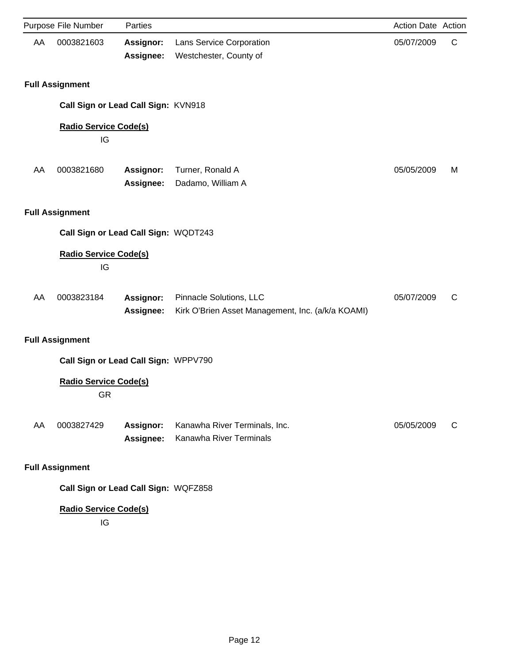|    | Purpose File Number                       | Parties                       |                                                                              | Action Date Action |   |
|----|-------------------------------------------|-------------------------------|------------------------------------------------------------------------------|--------------------|---|
| AA | 0003821603                                | <b>Assignor:</b><br>Assignee: | Lans Service Corporation<br>Westchester, County of                           | 05/07/2009         | C |
|    | <b>Full Assignment</b>                    |                               |                                                                              |                    |   |
|    | Call Sign or Lead Call Sign: KVN918       |                               |                                                                              |                    |   |
|    | <b>Radio Service Code(s)</b><br>IG        |                               |                                                                              |                    |   |
| AA | 0003821680                                | Assignor:<br>Assignee:        | Turner, Ronald A<br>Dadamo, William A                                        | 05/05/2009         | M |
|    | <b>Full Assignment</b>                    |                               |                                                                              |                    |   |
|    | Call Sign or Lead Call Sign: WQDT243      |                               |                                                                              |                    |   |
|    | <b>Radio Service Code(s)</b><br>IG        |                               |                                                                              |                    |   |
| AA | 0003823184                                | Assignor:<br>Assignee:        | Pinnacle Solutions, LLC<br>Kirk O'Brien Asset Management, Inc. (a/k/a KOAMI) | 05/07/2009         | C |
|    | <b>Full Assignment</b>                    |                               |                                                                              |                    |   |
|    | Call Sign or Lead Call Sign: WPPV790      |                               |                                                                              |                    |   |
|    | <b>Radio Service Code(s)</b><br><b>GR</b> |                               |                                                                              |                    |   |
| AA | 0003827429                                | Assignor:<br>Assignee:        | Kanawha River Terminals, Inc.<br>Kanawha River Terminals                     | 05/05/2009         | C |
|    | <b>Full Assignment</b>                    |                               |                                                                              |                    |   |
|    |                                           |                               |                                                                              |                    |   |

**Call Sign or Lead Call Sign:** WQFZ858

# **Radio Service Code(s)**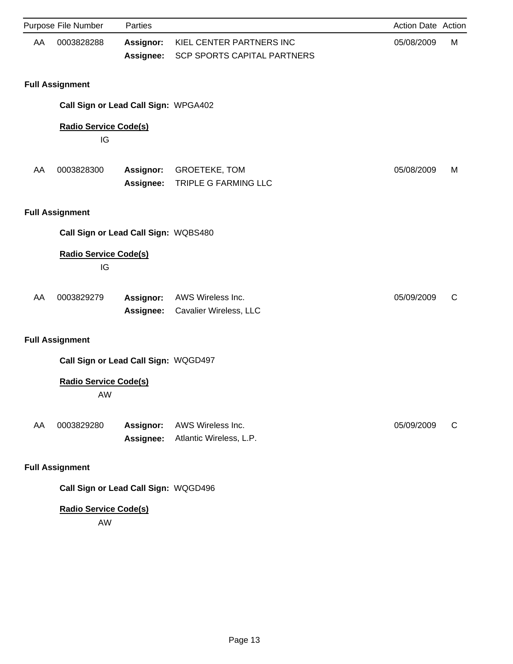|    | Purpose File Number                  | Parties                              |                                                                | Action Date Action |   |
|----|--------------------------------------|--------------------------------------|----------------------------------------------------------------|--------------------|---|
| AA | 0003828288                           | Assignor:<br>Assignee:               | KIEL CENTER PARTNERS INC<br><b>SCP SPORTS CAPITAL PARTNERS</b> | 05/08/2009         | М |
|    | <b>Full Assignment</b>               |                                      |                                                                |                    |   |
|    | Call Sign or Lead Call Sign: WPGA402 |                                      |                                                                |                    |   |
|    | <b>Radio Service Code(s)</b><br>IG   |                                      |                                                                |                    |   |
| AA | 0003828300                           | Assignor:<br>Assignee:               | GROETEKE, TOM<br>TRIPLE G FARMING LLC                          | 05/08/2009         | M |
|    | <b>Full Assignment</b>               |                                      |                                                                |                    |   |
|    | Call Sign or Lead Call Sign: WQBS480 |                                      |                                                                |                    |   |
|    | <b>Radio Service Code(s)</b><br>IG   |                                      |                                                                |                    |   |
| AA | 0003829279                           | <b>Assignor:</b><br><b>Assignee:</b> | AWS Wireless Inc.<br>Cavalier Wireless, LLC                    | 05/09/2009         | C |
|    | <b>Full Assignment</b>               |                                      |                                                                |                    |   |
|    | Call Sign or Lead Call Sign: WQGD497 |                                      |                                                                |                    |   |
|    | <b>Radio Service Code(s)</b><br>AW   |                                      |                                                                |                    |   |
| AA | 0003829280                           | <b>Assignor:</b><br>Assignee:        | AWS Wireless Inc.<br>Atlantic Wireless, L.P.                   | 05/09/2009         | C |
|    | <b>Full Assignment</b>               |                                      |                                                                |                    |   |

**Call Sign or Lead Call Sign:** WQGD496

# **Radio Service Code(s)**

AW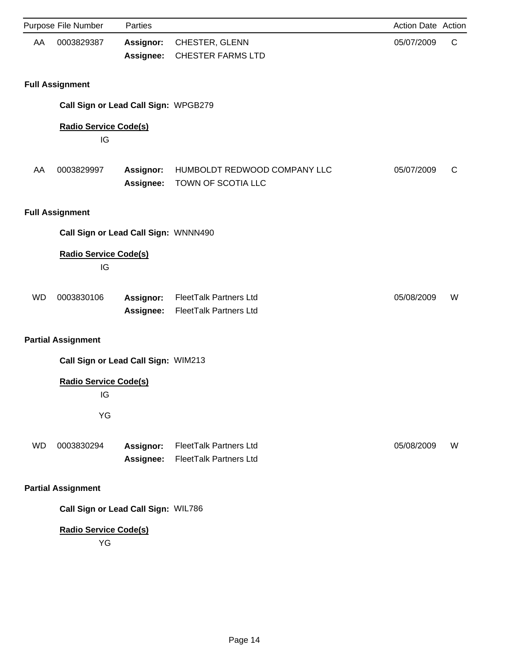|           | Purpose File Number                  | Parties                       |                                                                | Action Date Action |   |
|-----------|--------------------------------------|-------------------------------|----------------------------------------------------------------|--------------------|---|
| AA        | 0003829387                           | <b>Assignor:</b><br>Assignee: | CHESTER, GLENN<br><b>CHESTER FARMS LTD</b>                     | 05/07/2009         | C |
|           | <b>Full Assignment</b>               |                               |                                                                |                    |   |
|           | Call Sign or Lead Call Sign: WPGB279 |                               |                                                                |                    |   |
|           | <b>Radio Service Code(s)</b><br>IG   |                               |                                                                |                    |   |
| AA        | 0003829997                           | Assignor:<br>Assignee:        | HUMBOLDT REDWOOD COMPANY LLC<br>TOWN OF SCOTIA LLC             | 05/07/2009         | C |
|           | <b>Full Assignment</b>               |                               |                                                                |                    |   |
|           | Call Sign or Lead Call Sign: WNNN490 |                               |                                                                |                    |   |
|           | <b>Radio Service Code(s)</b><br>IG   |                               |                                                                |                    |   |
| <b>WD</b> | 0003830106                           | Assignor:<br><b>Assignee:</b> | <b>FleetTalk Partners Ltd</b><br><b>FleetTalk Partners Ltd</b> | 05/08/2009         | W |
|           | <b>Partial Assignment</b>            |                               |                                                                |                    |   |
|           | Call Sign or Lead Call Sign: WIM213  |                               |                                                                |                    |   |
|           | <b>Radio Service Code(s)</b><br>IG   |                               |                                                                |                    |   |
|           | YG                                   |                               |                                                                |                    |   |
| <b>WD</b> | 0003830294                           | Assignor:<br>Assignee:        | <b>FleetTalk Partners Ltd</b><br><b>FleetTalk Partners Ltd</b> | 05/08/2009         | W |
|           | <b>Partial Assignment</b>            |                               |                                                                |                    |   |
|           | Call Sign or Lead Call Sign: WIL786  |                               |                                                                |                    |   |
|           | <b>Radio Service Code(s)</b><br>YG   |                               |                                                                |                    |   |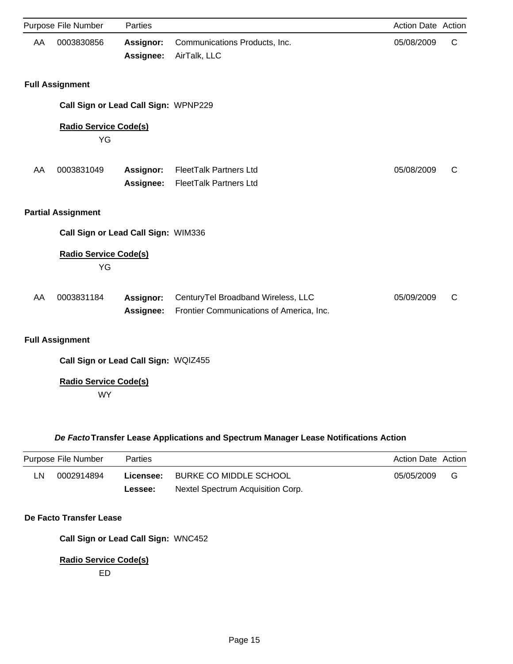|    | Purpose File Number                | Parties                              |                                                                                | <b>Action Date Action</b> |   |
|----|------------------------------------|--------------------------------------|--------------------------------------------------------------------------------|---------------------------|---|
| AA | 0003830856                         | Assignor:<br>Assignee:               | Communications Products, Inc.<br>AirTalk, LLC                                  | 05/08/2009                | С |
|    | <b>Full Assignment</b>             |                                      |                                                                                |                           |   |
|    |                                    | Call Sign or Lead Call Sign: WPNP229 |                                                                                |                           |   |
|    | <b>Radio Service Code(s)</b><br>YG |                                      |                                                                                |                           |   |
| AA | 0003831049                         | Assignor:<br>Assignee:               | <b>FleetTalk Partners Ltd</b><br><b>FleetTalk Partners Ltd</b>                 | 05/08/2009                | C |
|    | <b>Partial Assignment</b>          |                                      |                                                                                |                           |   |
|    |                                    | Call Sign or Lead Call Sign: WIM336  |                                                                                |                           |   |
|    | <b>Radio Service Code(s)</b><br>YG |                                      |                                                                                |                           |   |
| AA | 0003831184                         | Assignor:<br>Assignee:               | CenturyTel Broadband Wireless, LLC<br>Frontier Communications of America, Inc. | 05/09/2009                | C |
|    | <b>Full Assignment</b>             |                                      |                                                                                |                           |   |
|    |                                    | Call Sign or Lead Call Sign: WQIZ455 |                                                                                |                           |   |
|    | <b>Radio Service Code(s)</b>       |                                      |                                                                                |                           |   |

WY

## *De Facto***Transfer Lease Applications and Spectrum Manager Lease Notifications Action**

|    | Purpose File Number | Parties   |                                   | Action Date Action |   |
|----|---------------------|-----------|-----------------------------------|--------------------|---|
| LN | 0002914894          | Licensee: | BURKE CO MIDDLE SCHOOL            | 05/05/2009         | G |
|    |                     | Lessee:   | Nextel Spectrum Acquisition Corp. |                    |   |

## **De Facto Transfer Lease**

**Call Sign or Lead Call Sign:** WNC452

## **Radio Service Code(s)**

ED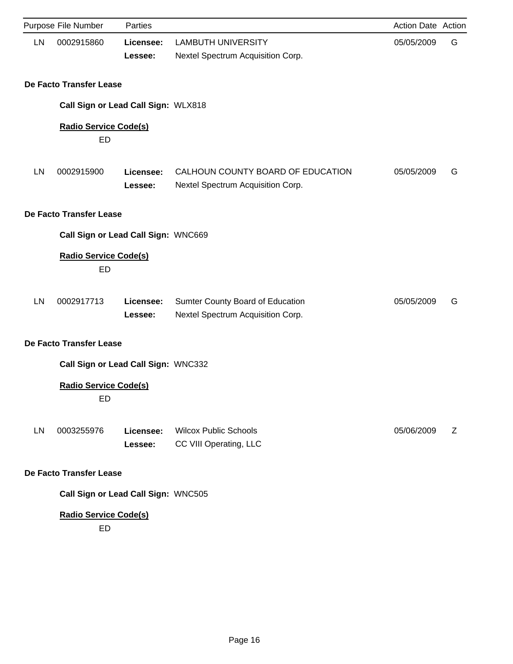|    | Purpose File Number                       | Parties              |                                                                        | Action Date Action |   |
|----|-------------------------------------------|----------------------|------------------------------------------------------------------------|--------------------|---|
| LN | 0002915860                                | Licensee:<br>Lessee: | <b>LAMBUTH UNIVERSITY</b><br>Nextel Spectrum Acquisition Corp.         | 05/05/2009         | G |
|    | De Facto Transfer Lease                   |                      |                                                                        |                    |   |
|    | Call Sign or Lead Call Sign: WLX818       |                      |                                                                        |                    |   |
|    | <b>Radio Service Code(s)</b><br><b>ED</b> |                      |                                                                        |                    |   |
| LN | 0002915900                                | Licensee:<br>Lessee: | CALHOUN COUNTY BOARD OF EDUCATION<br>Nextel Spectrum Acquisition Corp. | 05/05/2009         | G |
|    | De Facto Transfer Lease                   |                      |                                                                        |                    |   |
|    | Call Sign or Lead Call Sign: WNC669       |                      |                                                                        |                    |   |
|    | <b>Radio Service Code(s)</b><br>ED        |                      |                                                                        |                    |   |
| LN | 0002917713                                | Licensee:<br>Lessee: | Sumter County Board of Education<br>Nextel Spectrum Acquisition Corp.  | 05/05/2009         | G |
|    | De Facto Transfer Lease                   |                      |                                                                        |                    |   |
|    | Call Sign or Lead Call Sign: WNC332       |                      |                                                                        |                    |   |
|    | <b>Radio Service Code(s)</b><br>ED        |                      |                                                                        |                    |   |
| LN | 0003255976                                | Licensee:<br>Lessee: | <b>Wilcox Public Schools</b><br>CC VIII Operating, LLC                 | 05/06/2009         | Ζ |
|    | De Facto Transfer Lease                   |                      |                                                                        |                    |   |
|    | Call Sign or Lead Call Sign: WNC505       |                      |                                                                        |                    |   |
|    | <b>Radio Service Code(s)</b><br><b>ED</b> |                      |                                                                        |                    |   |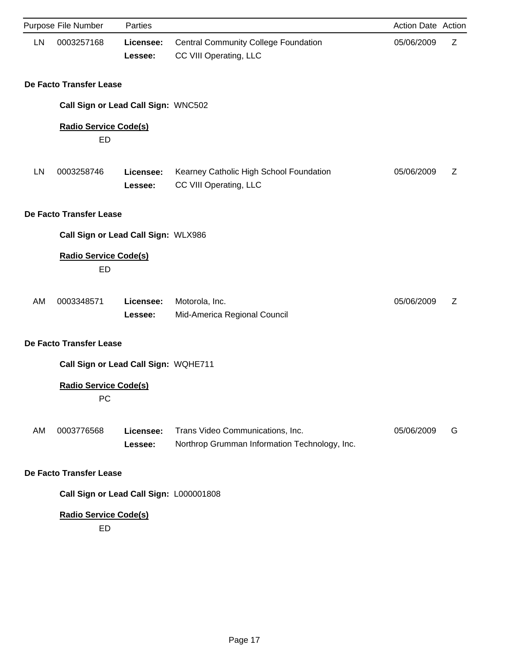|    | Purpose File Number                       | Parties              |                                                                                   | Action Date Action |   |
|----|-------------------------------------------|----------------------|-----------------------------------------------------------------------------------|--------------------|---|
| LN | 0003257168                                | Licensee:<br>Lessee: | <b>Central Community College Foundation</b><br>CC VIII Operating, LLC             | 05/06/2009         | Ζ |
|    | De Facto Transfer Lease                   |                      |                                                                                   |                    |   |
|    | Call Sign or Lead Call Sign: WNC502       |                      |                                                                                   |                    |   |
|    | <b>Radio Service Code(s)</b><br><b>ED</b> |                      |                                                                                   |                    |   |
| LN | 0003258746                                | Licensee:<br>Lessee: | Kearney Catholic High School Foundation<br>CC VIII Operating, LLC                 | 05/06/2009         | Ζ |
|    | De Facto Transfer Lease                   |                      |                                                                                   |                    |   |
|    | Call Sign or Lead Call Sign: WLX986       |                      |                                                                                   |                    |   |
|    | <b>Radio Service Code(s)</b><br>ED        |                      |                                                                                   |                    |   |
| AM | 0003348571                                | Licensee:<br>Lessee: | Motorola, Inc.<br>Mid-America Regional Council                                    | 05/06/2009         | Ζ |
|    | De Facto Transfer Lease                   |                      |                                                                                   |                    |   |
|    | Call Sign or Lead Call Sign: WQHE711      |                      |                                                                                   |                    |   |
|    | <b>Radio Service Code(s)</b><br>PC        |                      |                                                                                   |                    |   |
| AM | 0003776568                                | Licensee:<br>Lessee: | Trans Video Communications, Inc.<br>Northrop Grumman Information Technology, Inc. | 05/06/2009         | G |
|    | De Facto Transfer Lease                   |                      |                                                                                   |                    |   |
|    | Call Sign or Lead Call Sign: L000001808   |                      |                                                                                   |                    |   |
|    | <b>Radio Service Code(s)</b><br>ED        |                      |                                                                                   |                    |   |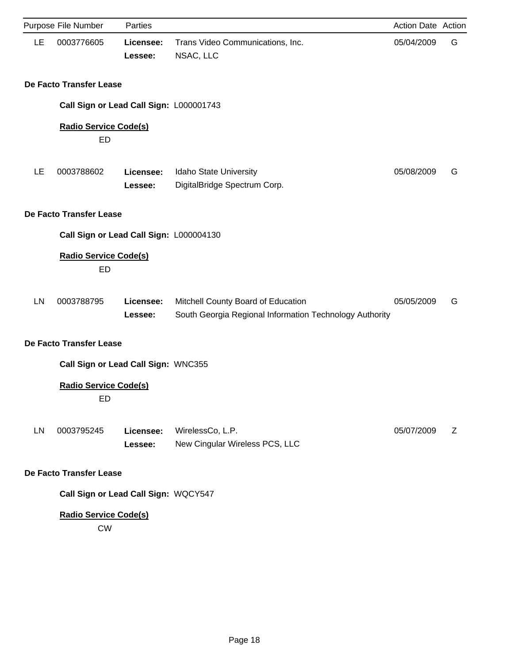|    | Purpose File Number                       | Parties              |                                                                                               | <b>Action Date Action</b> |   |
|----|-------------------------------------------|----------------------|-----------------------------------------------------------------------------------------------|---------------------------|---|
| LE | 0003776605                                | Licensee:<br>Lessee: | Trans Video Communications, Inc.<br>NSAC, LLC                                                 | 05/04/2009                | G |
|    | De Facto Transfer Lease                   |                      |                                                                                               |                           |   |
|    | Call Sign or Lead Call Sign: L000001743   |                      |                                                                                               |                           |   |
|    | <b>Radio Service Code(s)</b><br><b>ED</b> |                      |                                                                                               |                           |   |
| LE | 0003788602                                | Licensee:<br>Lessee: | Idaho State University<br>DigitalBridge Spectrum Corp.                                        | 05/08/2009                | G |
|    | De Facto Transfer Lease                   |                      |                                                                                               |                           |   |
|    | Call Sign or Lead Call Sign: L000004130   |                      |                                                                                               |                           |   |
|    | <b>Radio Service Code(s)</b><br><b>ED</b> |                      |                                                                                               |                           |   |
| LN | 0003788795                                | Licensee:<br>Lessee: | Mitchell County Board of Education<br>South Georgia Regional Information Technology Authority | 05/05/2009                | G |
|    | De Facto Transfer Lease                   |                      |                                                                                               |                           |   |
|    | Call Sign or Lead Call Sign: WNC355       |                      |                                                                                               |                           |   |
|    | <b>Radio Service Code(s)</b><br>ED        |                      |                                                                                               |                           |   |
| LN | 0003795245                                | Licensee:<br>Lessee: | WirelessCo, L.P.<br>New Cingular Wireless PCS, LLC                                            | 05/07/2009                | Z |
|    | De Facto Transfer Lease                   |                      |                                                                                               |                           |   |
|    | Call Sign or Lead Call Sign: WQCY547      |                      |                                                                                               |                           |   |
|    | <b>Radio Service Code(s)</b><br>$\sim$    |                      |                                                                                               |                           |   |

CW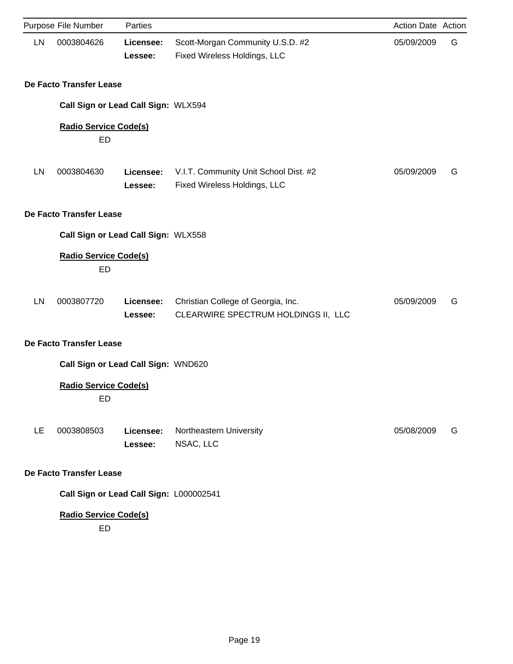|    | Purpose File Number                     | Parties              |                                                                           | Action Date Action |   |
|----|-----------------------------------------|----------------------|---------------------------------------------------------------------------|--------------------|---|
| LN | 0003804626                              | Licensee:<br>Lessee: | Scott-Morgan Community U.S.D. #2<br>Fixed Wireless Holdings, LLC          | 05/09/2009         | G |
|    | De Facto Transfer Lease                 |                      |                                                                           |                    |   |
|    | Call Sign or Lead Call Sign: WLX594     |                      |                                                                           |                    |   |
|    | <b>Radio Service Code(s)</b><br>ED      |                      |                                                                           |                    |   |
| LN | 0003804630                              | Licensee:<br>Lessee: | V.I.T. Community Unit School Dist. #2<br>Fixed Wireless Holdings, LLC     | 05/09/2009         | G |
|    | De Facto Transfer Lease                 |                      |                                                                           |                    |   |
|    | Call Sign or Lead Call Sign: WLX558     |                      |                                                                           |                    |   |
|    | <b>Radio Service Code(s)</b><br>ED      |                      |                                                                           |                    |   |
| LN | 0003807720                              | Licensee:<br>Lessee: | Christian College of Georgia, Inc.<br>CLEARWIRE SPECTRUM HOLDINGS II, LLC | 05/09/2009         | G |
|    | De Facto Transfer Lease                 |                      |                                                                           |                    |   |
|    | Call Sign or Lead Call Sign: WND620     |                      |                                                                           |                    |   |
|    | <b>Radio Service Code(s)</b><br>ED      |                      |                                                                           |                    |   |
| LE | 0003808503                              | Licensee:<br>Lessee: | Northeastern University<br>NSAC, LLC                                      | 05/08/2009         | G |
|    | De Facto Transfer Lease                 |                      |                                                                           |                    |   |
|    | Call Sign or Lead Call Sign: L000002541 |                      |                                                                           |                    |   |
|    | <b>Radio Service Code(s)</b><br>ED      |                      |                                                                           |                    |   |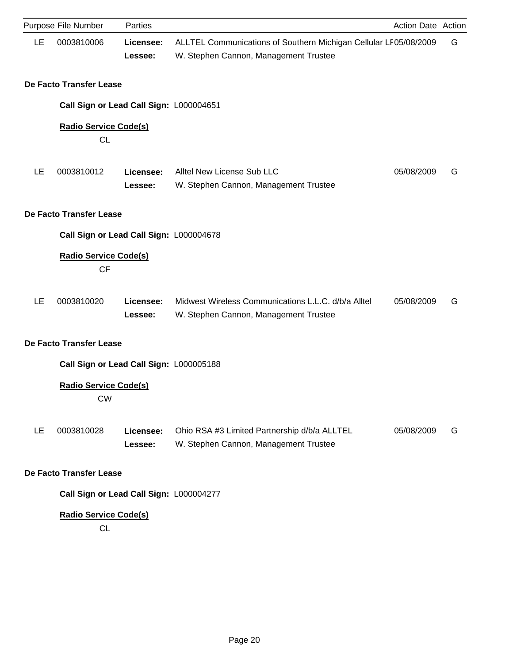|    | Purpose File Number                       | Parties              |                                                                                                           |            | Action Date Action |
|----|-------------------------------------------|----------------------|-----------------------------------------------------------------------------------------------------------|------------|--------------------|
| LE | 0003810006                                | Licensee:<br>Lessee: | ALLTEL Communications of Southern Michigan Cellular LF05/08/2009<br>W. Stephen Cannon, Management Trustee |            | G                  |
|    | De Facto Transfer Lease                   |                      |                                                                                                           |            |                    |
|    | Call Sign or Lead Call Sign: L000004651   |                      |                                                                                                           |            |                    |
|    | <b>Radio Service Code(s)</b><br><b>CL</b> |                      |                                                                                                           |            |                    |
| LE | 0003810012                                | Licensee:<br>Lessee: | Alltel New License Sub LLC<br>W. Stephen Cannon, Management Trustee                                       | 05/08/2009 | G                  |
|    | De Facto Transfer Lease                   |                      |                                                                                                           |            |                    |
|    | Call Sign or Lead Call Sign: L000004678   |                      |                                                                                                           |            |                    |
|    | <b>Radio Service Code(s)</b><br><b>CF</b> |                      |                                                                                                           |            |                    |
| LE | 0003810020                                | Licensee:<br>Lessee: | Midwest Wireless Communications L.L.C. d/b/a Alltel<br>W. Stephen Cannon, Management Trustee              | 05/08/2009 | G                  |
|    | De Facto Transfer Lease                   |                      |                                                                                                           |            |                    |
|    | Call Sign or Lead Call Sign: L000005188   |                      |                                                                                                           |            |                    |
|    | <b>Radio Service Code(s)</b><br><b>CW</b> |                      |                                                                                                           |            |                    |
| LE | 0003810028                                | Licensee:<br>Lessee: | Ohio RSA #3 Limited Partnership d/b/a ALLTEL<br>W. Stephen Cannon, Management Trustee                     | 05/08/2009 | G                  |
|    | De Facto Transfer Lease                   |                      |                                                                                                           |            |                    |
|    | Call Sign or Lead Call Sign: L000004277   |                      |                                                                                                           |            |                    |
|    | <b>Radio Service Code(s)</b><br><b>CL</b> |                      |                                                                                                           |            |                    |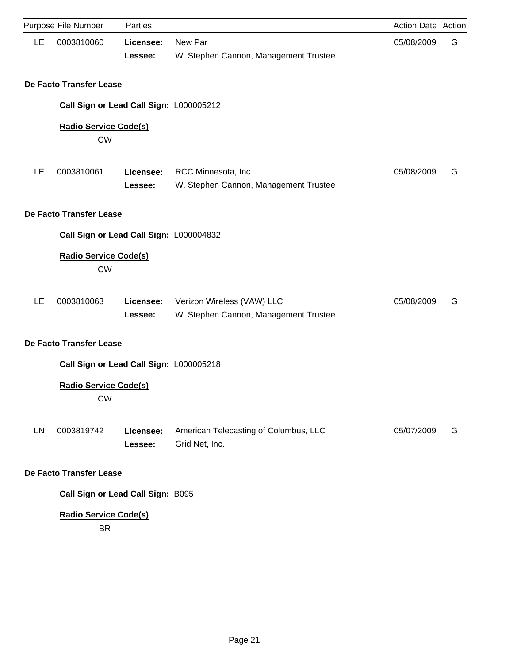|    | Purpose File Number                       | Parties              |                                                                     | Action Date Action |   |  |  |  |
|----|-------------------------------------------|----------------------|---------------------------------------------------------------------|--------------------|---|--|--|--|
| LE | 0003810060                                | Licensee:<br>Lessee: | New Par<br>W. Stephen Cannon, Management Trustee                    | 05/08/2009         | G |  |  |  |
|    | De Facto Transfer Lease                   |                      |                                                                     |                    |   |  |  |  |
|    | Call Sign or Lead Call Sign: L000005212   |                      |                                                                     |                    |   |  |  |  |
|    | <b>Radio Service Code(s)</b><br><b>CW</b> |                      |                                                                     |                    |   |  |  |  |
| LE | 0003810061                                | Licensee:<br>Lessee: | RCC Minnesota, Inc.<br>W. Stephen Cannon, Management Trustee        | 05/08/2009         | G |  |  |  |
|    | De Facto Transfer Lease                   |                      |                                                                     |                    |   |  |  |  |
|    | Call Sign or Lead Call Sign: L000004832   |                      |                                                                     |                    |   |  |  |  |
|    | <b>Radio Service Code(s)</b><br><b>CW</b> |                      |                                                                     |                    |   |  |  |  |
| LE | 0003810063                                | Licensee:<br>Lessee: | Verizon Wireless (VAW) LLC<br>W. Stephen Cannon, Management Trustee | 05/08/2009         | G |  |  |  |
|    | De Facto Transfer Lease                   |                      |                                                                     |                    |   |  |  |  |
|    | Call Sign or Lead Call Sign: L000005218   |                      |                                                                     |                    |   |  |  |  |
|    | <b>Radio Service Code(s)</b><br><b>CW</b> |                      |                                                                     |                    |   |  |  |  |
| LN | 0003819742                                | Licensee:<br>Lessee: | American Telecasting of Columbus, LLC<br>Grid Net, Inc.             | 05/07/2009         | G |  |  |  |
|    | De Facto Transfer Lease                   |                      |                                                                     |                    |   |  |  |  |
|    | Call Sign or Lead Call Sign: B095         |                      |                                                                     |                    |   |  |  |  |
|    | <b>Radio Service Code(s)</b><br><b>BR</b> |                      |                                                                     |                    |   |  |  |  |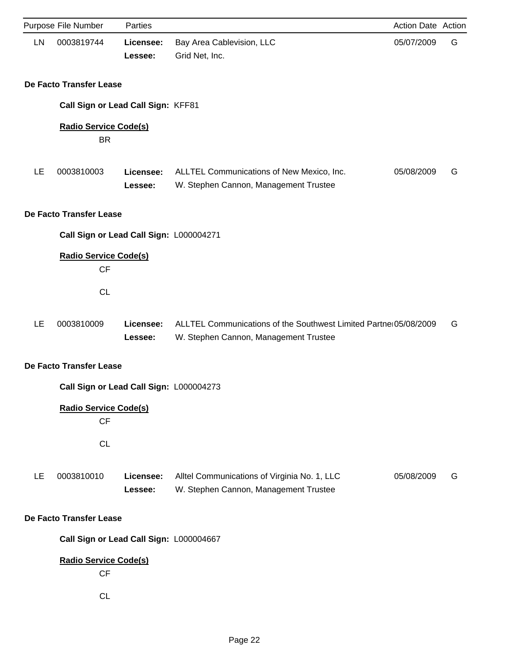|           | Purpose File Number                       | Parties              |                                                                                                           | Action Date Action |   |
|-----------|-------------------------------------------|----------------------|-----------------------------------------------------------------------------------------------------------|--------------------|---|
| LN        | 0003819744                                | Licensee:<br>Lessee: | Bay Area Cablevision, LLC<br>Grid Net, Inc.                                                               | 05/07/2009         | G |
|           | De Facto Transfer Lease                   |                      |                                                                                                           |                    |   |
|           | Call Sign or Lead Call Sign: KFF81        |                      |                                                                                                           |                    |   |
|           | <b>Radio Service Code(s)</b><br><b>BR</b> |                      |                                                                                                           |                    |   |
| LE        | 0003810003                                | Licensee:<br>Lessee: | ALLTEL Communications of New Mexico, Inc.<br>W. Stephen Cannon, Management Trustee                        | 05/08/2009         | G |
|           | De Facto Transfer Lease                   |                      |                                                                                                           |                    |   |
|           | Call Sign or Lead Call Sign: L000004271   |                      |                                                                                                           |                    |   |
|           | <b>Radio Service Code(s)</b><br><b>CF</b> |                      |                                                                                                           |                    |   |
|           | <b>CL</b>                                 |                      |                                                                                                           |                    |   |
| LE        | 0003810009                                | Licensee:<br>Lessee: | ALLTEL Communications of the Southwest Limited Partne 05/08/2009<br>W. Stephen Cannon, Management Trustee |                    | G |
|           | De Facto Transfer Lease                   |                      |                                                                                                           |                    |   |
|           | Call Sign or Lead Call Sign: L000004273   |                      |                                                                                                           |                    |   |
|           | <b>Radio Service Code(s)</b><br>CF        |                      |                                                                                                           |                    |   |
|           | <b>CL</b>                                 |                      |                                                                                                           |                    |   |
| <b>LE</b> | 0003810010                                | Licensee:<br>Lessee: | Alltel Communications of Virginia No. 1, LLC<br>W. Stephen Cannon, Management Trustee                     | 05/08/2009         | G |
|           | De Facto Transfer Lease                   |                      |                                                                                                           |                    |   |
|           | Call Sign or Lead Call Sign: L000004667   |                      |                                                                                                           |                    |   |
|           | <b>Radio Service Code(s)</b><br>CF        |                      |                                                                                                           |                    |   |
|           | <b>CL</b>                                 |                      |                                                                                                           |                    |   |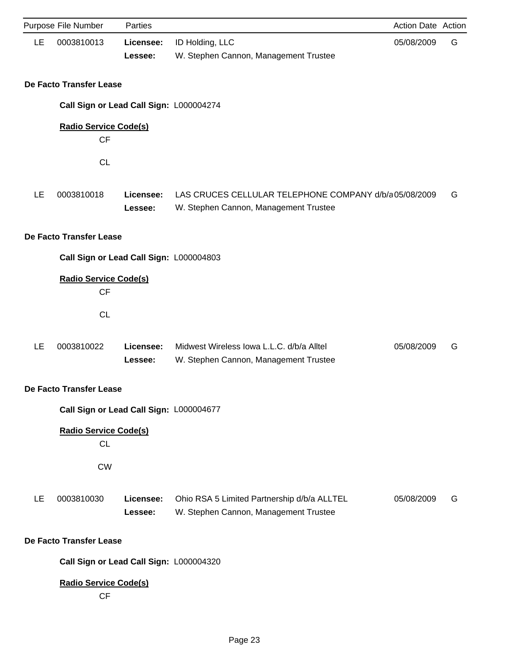|    | Purpose File Number                       | Parties              |                                                                                                | Action Date Action |   |
|----|-------------------------------------------|----------------------|------------------------------------------------------------------------------------------------|--------------------|---|
| LE | 0003810013                                | Licensee:<br>Lessee: | ID Holding, LLC<br>W. Stephen Cannon, Management Trustee                                       | 05/08/2009         | G |
|    | De Facto Transfer Lease                   |                      |                                                                                                |                    |   |
|    | Call Sign or Lead Call Sign: L000004274   |                      |                                                                                                |                    |   |
|    | <b>Radio Service Code(s)</b><br><b>CF</b> |                      |                                                                                                |                    |   |
|    | <b>CL</b>                                 |                      |                                                                                                |                    |   |
| LE | 0003810018                                | Licensee:<br>Lessee: | LAS CRUCES CELLULAR TELEPHONE COMPANY d/b/a05/08/2009<br>W. Stephen Cannon, Management Trustee |                    | G |
|    | De Facto Transfer Lease                   |                      |                                                                                                |                    |   |
|    | Call Sign or Lead Call Sign: L000004803   |                      |                                                                                                |                    |   |
|    | <b>Radio Service Code(s)</b><br><b>CF</b> |                      |                                                                                                |                    |   |
|    | <b>CL</b>                                 |                      |                                                                                                |                    |   |
| LE | 0003810022                                | Licensee:<br>Lessee: | Midwest Wireless Iowa L.L.C. d/b/a Alltel<br>W. Stephen Cannon, Management Trustee             | 05/08/2009         | G |
|    | De Facto Transfer Lease                   |                      |                                                                                                |                    |   |
|    | Call Sign or Lead Call Sign: L000004677   |                      |                                                                                                |                    |   |
|    | <b>Radio Service Code(s)</b><br><b>CL</b> |                      |                                                                                                |                    |   |
|    | <b>CW</b>                                 |                      |                                                                                                |                    |   |
| LE | 0003810030                                | Licensee:<br>Lessee: | Ohio RSA 5 Limited Partnership d/b/a ALLTEL<br>W. Stephen Cannon, Management Trustee           | 05/08/2009         | G |
|    | De Facto Transfer Lease                   |                      |                                                                                                |                    |   |
|    | Call Sign or Lead Call Sign: L000004320   |                      |                                                                                                |                    |   |
|    | <b>Radio Service Code(s)</b><br><b>CF</b> |                      |                                                                                                |                    |   |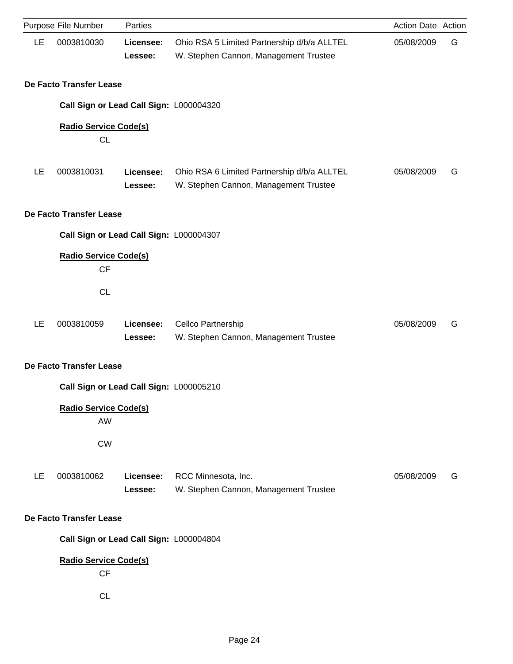|    | Purpose File Number                       | Parties              |                                                                                      | Action Date Action |   |  |
|----|-------------------------------------------|----------------------|--------------------------------------------------------------------------------------|--------------------|---|--|
| LE | 0003810030                                | Licensee:<br>Lessee: | Ohio RSA 5 Limited Partnership d/b/a ALLTEL<br>W. Stephen Cannon, Management Trustee | 05/08/2009         | G |  |
|    | De Facto Transfer Lease                   |                      |                                                                                      |                    |   |  |
|    | Call Sign or Lead Call Sign: L000004320   |                      |                                                                                      |                    |   |  |
|    | <b>Radio Service Code(s)</b><br>CL        |                      |                                                                                      |                    |   |  |
| LE | 0003810031                                | Licensee:<br>Lessee: | Ohio RSA 6 Limited Partnership d/b/a ALLTEL<br>W. Stephen Cannon, Management Trustee | 05/08/2009         | G |  |
|    | De Facto Transfer Lease                   |                      |                                                                                      |                    |   |  |
|    | Call Sign or Lead Call Sign: L000004307   |                      |                                                                                      |                    |   |  |
|    | <b>Radio Service Code(s)</b><br><b>CF</b> |                      |                                                                                      |                    |   |  |
|    | CL                                        |                      |                                                                                      |                    |   |  |
| LE | 0003810059                                | Licensee:<br>Lessee: | Cellco Partnership<br>W. Stephen Cannon, Management Trustee                          | 05/08/2009         | G |  |
|    | De Facto Transfer Lease                   |                      |                                                                                      |                    |   |  |
|    | Call Sign or Lead Call Sign: L000005210   |                      |                                                                                      |                    |   |  |
|    | <b>Radio Service Code(s)</b><br>AW        |                      |                                                                                      |                    |   |  |
|    | <b>CW</b>                                 |                      |                                                                                      |                    |   |  |
| LE | 0003810062                                | Licensee:<br>Lessee: | RCC Minnesota, Inc.<br>W. Stephen Cannon, Management Trustee                         | 05/08/2009         | G |  |
|    | De Facto Transfer Lease                   |                      |                                                                                      |                    |   |  |
|    | Call Sign or Lead Call Sign: L000004804   |                      |                                                                                      |                    |   |  |
|    | <b>Radio Service Code(s)</b><br><b>CF</b> |                      |                                                                                      |                    |   |  |
|    | CL                                        |                      |                                                                                      |                    |   |  |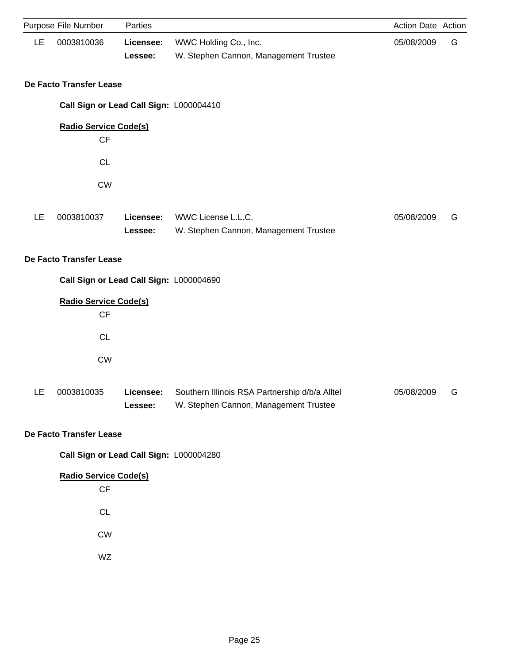| Purpose File Number |                                           | Parties              |                                                                                         | Action Date Action |   |
|---------------------|-------------------------------------------|----------------------|-----------------------------------------------------------------------------------------|--------------------|---|
| LE                  | 0003810036                                | Licensee:<br>Lessee: | WWC Holding Co., Inc.<br>W. Stephen Cannon, Management Trustee                          | 05/08/2009         | G |
|                     | De Facto Transfer Lease                   |                      |                                                                                         |                    |   |
|                     | Call Sign or Lead Call Sign: L000004410   |                      |                                                                                         |                    |   |
|                     | <b>Radio Service Code(s)</b><br><b>CF</b> |                      |                                                                                         |                    |   |
|                     | CL                                        |                      |                                                                                         |                    |   |
|                     | <b>CW</b>                                 |                      |                                                                                         |                    |   |
| LE                  | 0003810037                                | Licensee:<br>Lessee: | WWC License L.L.C.<br>W. Stephen Cannon, Management Trustee                             | 05/08/2009         | G |
|                     | De Facto Transfer Lease                   |                      |                                                                                         |                    |   |
|                     | Call Sign or Lead Call Sign: L000004690   |                      |                                                                                         |                    |   |
|                     | <b>Radio Service Code(s)</b><br><b>CF</b> |                      |                                                                                         |                    |   |
|                     | <b>CL</b>                                 |                      |                                                                                         |                    |   |
|                     | <b>CW</b>                                 |                      |                                                                                         |                    |   |
| LE.                 | 0003810035                                | Licensee:<br>Lessee: | Southern Illinois RSA Partnership d/b/a Alltel<br>W. Stephen Cannon, Management Trustee | 05/08/2009         | G |
|                     | De Facto Transfer Lease                   |                      |                                                                                         |                    |   |
|                     | Call Sign or Lead Call Sign: L000004280   |                      |                                                                                         |                    |   |
|                     | <b>Radio Service Code(s)</b><br>CF        |                      |                                                                                         |                    |   |
|                     | CL                                        |                      |                                                                                         |                    |   |
|                     | CW                                        |                      |                                                                                         |                    |   |
|                     | WZ                                        |                      |                                                                                         |                    |   |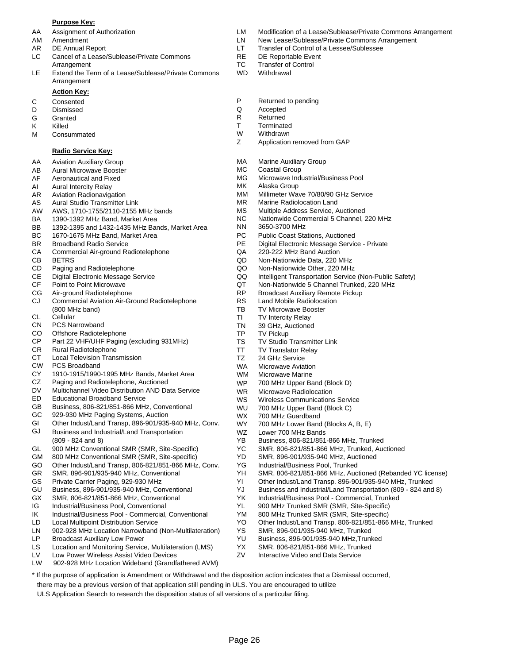#### **Purpose Key:**

- 
- 
- 
- LC Cancel of a Lease/Sublease/Private Commons RE DE Reportable Event Arrangement TC Transfer of Control
- LE Extend the Term of a Lease/Sublease/Private Commons WD Withdrawal Arrangement

#### **Action Key:**

- 
- D Dismissed Q Accepted
- 
- 
- M Consummated M W Withdrawn<br>
Z Application

#### **Radio Service Key:**

- AA Aviation Auxiliary Group
- AB Aural Microwave Booster
- AF Aeronautical and Fixed
- AI Aural Intercity Relay
- AR Aviation Radionavigation
- AS Aural Studio Transmitter Link
- AW AWS, 1710-1755/2110-2155 MHz bands
- BA 1390-1392 MHz Band, Market Area
- BB 1392-1395 and 1432-1435 MHz Bands, Market Area
- BC 1670-1675 MHz Band, Market Area
- BR Broadband Radio Service
- CA Commercial Air-ground Radiotelephone
- CB BETRS
- CD Paging and Radiotelephone
- CE Digital Electronic Message Service
- CF Point to Point Microwave
- CG Air-ground Radiotelephone
- CJ Commercial Aviation Air-Ground Radiotelephone (800 MHz band)
- CL **Cellular**
- CN PCS Narrowband
- CO Offshore Radiotelephone
- CP Part 22 VHF/UHF Paging (excluding 931MHz)
- CR Rural Radiotelephone
- CT Local Television Transmission
- CW PCS Broadband
- CY 1910-1915/1990-1995 MHz Bands, Market Area
- CZ Paging and Radiotelephone, Auctioned
- DV Multichannel Video Distribution AND Data Service
- ED Educational Broadband Service
- GB Business, 806-821/851-866 MHz, Conventional
- GC 929-930 MHz Paging Systems, Auction
- GI Other Indust/Land Transp, 896-901/935-940 MHz, Conv.
- GJ Business and Industrial/Land Transportation (809 - 824 and 8)
- GL 900 MHz Conventional SMR (SMR, Site-Specific)
- GM 800 MHz Conventional SMR (SMR, Site-specific)
- GO Other Indust/Land Transp, 806-821/851-866 MHz, Conv.
- GR SMR, 896-901/935-940 MHz, Conventional
- GS Private Carrier Paging, 929-930 MHz
- GU Business, 896-901/935-940 MHz, Conventional
- GX SMR, 806-821/851-866 MHz, Conventional
- IG Industrial/Business Pool, Conventional
- IK Industrial/Business Pool Commercial, Conventional
- LD Local Multipoint Distribution Service
- LN 902-928 MHz Location Narrowband (Non-Multilateration)
- LP Broadcast Auxiliary Low Power
- Location and Monitoring Service, Multilateration (LMS) LS
- Low Power Wireless Assist Video Devices LV
- LW 902-928 MHz Location Wideband (Grandfathered AVM)
- AA Assignment of Authorization LM Modification of a Lease/Sublease/Private Commons Arrangement
- AM Amendment LN New Lease/Sublease/Private Commons Arrangement
- AR DE Annual Report **LT** Transfer of Control of a Lessee/Sublessee
	-
	-
	-
- C Consented **C** Consented **P** Returned to pending **D** Dismissed **P** Returned to pending
	-
- G Granted **R** Returned
- K Killed T Terminated
	-
	- Application removed from GAP
	- MA Marine Auxiliary Group
	- MC Coastal Group
	- MG Microwave Industrial/Business Pool
	- MK Alaska Group
	- MM Millimeter Wave 70/80/90 GHz Service
	- MR Marine Radiolocation Land
	- MS Multiple Address Service, Auctioned
	- NC Nationwide Commercial 5 Channel, 220 MHz
		- NN 3650-3700 MHz
		- PC Public Coast Stations, Auctioned
		- PE Digital Electronic Message Service Private
		- QA 220-222 MHz Band Auction
		- QD Non-Nationwide Data, 220 MHz
		- QO Non-Nationwide Other, 220 MHz
		- QQ Intelligent Transportation Service (Non-Public Safety)
		- QT Non-Nationwide 5 Channel Trunked, 220 MHz
		- RP Broadcast Auxiliary Remote Pickup
		- RS Land Mobile Radiolocation
		- TB TV Microwave Booster
		- TI TV Intercity Relay
		- TN 39 GHz, Auctioned
		- TP TV Pickup

WS WU

YD

Page 26

\* If the purpose of application is Amendment or Withdrawal and the disposition action indicates that a Dismissal occurred,

there may be a previous version of that application still pending in ULS. You are encouraged to utilize ULS Application Search to research the disposition status of all versions of a particular filing.

WZ WX WY

TS TV Studio Transmitter Link

WR Microwave Radiolocation

Lower 700 MHz Bands

700 MHz Guardband

YG Industrial/Business Pool, Trunked

YS SMR, 896-901/935-940 MHz, Trunked YU Business, 896-901/935-940 MHz,Trunked YX SMR, 806-821/851-866 MHz, Trunked ZV Interactive Video and Data Service

Wireless Communications Service 700 MHz Upper Band (Block C)

YB Business, 806-821/851-866 MHz, Trunked YC SMR, 806-821/851-866 MHz, Trunked, Auctioned SMR, 896-901/935-940 MHz, Auctioned

700 MHz Lower Band (Blocks A, B, E)

YK Industrial/Business Pool - Commercial, Trunked YL 900 MHz Trunked SMR (SMR, Site-Specific) YM 800 MHz Trunked SMR (SMR, Site-specific)

YH SMR, 806-821/851-866 MHz, Auctioned (Rebanded YC license) YI Other Indust/Land Transp. 896-901/935-940 MHz, Trunked YJ Business and Industrial/Land Transportation (809 - 824 and 8)

YO Other Indust/Land Transp. 806-821/851-866 MHz, Trunked

- TT TV Translator Relay
- TZ 24 GHz Service
- WA Microwave Aviation
- WM WP Microwave Marine 700 MHz Upper Band (Block D)